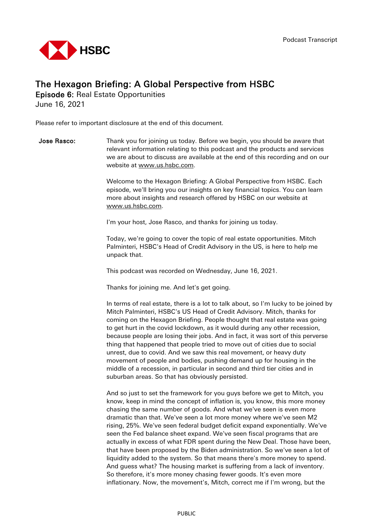

## The Hexagon Briefing: A Global Perspective from HSBC

Episode 6: Real Estate Opportunities

June 16, 2021

Please refer to important disclosure at the end of this document.

**Jose Rasco:** Thank you for joining us today. Before we begin, you should be aware that relevant information relating to this podcast and the products and services we are about to discuss are available at the end of this recording and on our website at [www.us.hsbc.com.](http://www.us.hsbc.com/)

> Welcome to the Hexagon Briefing: A Global Perspective from HSBC. Each episode, we'll bring you our insights on key financial topics. You can learn more about insights and research offered by HSBC on our website at [www.us.hsbc.com.](http://www.us.hsbc.com/)

I'm your host, Jose Rasco, and thanks for joining us today.

Today, we're going to cover the topic of real estate opportunities. Mitch Palminteri, HSBC's Head of Credit Advisory in the US, is here to help me unpack that.

This podcast was recorded on Wednesday, June 16, 2021.

Thanks for joining me. And let's get going.

In terms of real estate, there is a lot to talk about, so I'm lucky to be joined by Mitch Palminteri, HSBC's US Head of Credit Advisory. Mitch, thanks for coming on the Hexagon Briefing. People thought that real estate was going to get hurt in the covid lockdown, as it would during any other recession, because people are losing their jobs. And in fact, it was sort of this perverse thing that happened that people tried to move out of cities due to social unrest, due to covid. And we saw this real movement, or heavy duty movement of people and bodies, pushing demand up for housing in the middle of a recession, in particular in second and third tier cities and in suburban areas. So that has obviously persisted.

And so just to set the framework for you guys before we get to Mitch, you know, keep in mind the concept of inflation is, you know, this more money chasing the same number of goods. And what we've seen is even more dramatic than that. We've seen a lot more money where we've seen M2 rising, 25%. We've seen federal budget deficit expand exponentially. We've seen the Fed balance sheet expand. We've seen fiscal programs that are actually in excess of what FDR spent during the New Deal. Those have been, that have been proposed by the Biden administration. So we've seen a lot of liquidity added to the system. So that means there's more money to spend. And guess what? The housing market is suffering from a lack of inventory. So therefore, it's more money chasing fewer goods. It's even more inflationary. Now, the movement's, Mitch, correct me if I'm wrong, but the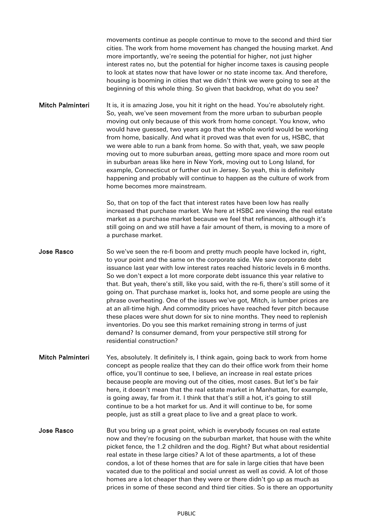movements continue as people continue to move to the second and third tier cities. The work from home movement has changed the housing market. And more importantly, we're seeing the potential for higher, not just higher interest rates no, but the potential for higher income taxes is causing people to look at states now that have lower or no state income tax. And therefore, housing is booming in cities that we didn't think we were going to see at the beginning of this whole thing. So given that backdrop, what do you see?

Mitch Palminteri It is, it is amazing Jose, you hit it right on the head. You're absolutely right. So, yeah, we've seen movement from the more urban to suburban people moving out only because of this work from home concept. You know, who would have guessed, two years ago that the whole world would be working from home, basically. And what it proved was that even for us, HSBC, that we were able to run a bank from home. So with that, yeah, we saw people moving out to more suburban areas, getting more space and more room out in suburban areas like here in New York, moving out to Long Island, for example, Connecticut or further out in Jersey. So yeah, this is definitely happening and probably will continue to happen as the culture of work from home becomes more mainstream.

> So, that on top of the fact that interest rates have been low has really increased that purchase market. We here at HSBC are viewing the real estate market as a purchase market because we feel that refinances, although it's still going on and we still have a fair amount of them, is moving to a more of a purchase market.

Jose Rasco So we've seen the re-fi boom and pretty much people have locked in, right, to your point and the same on the corporate side. We saw corporate debt issuance last year with low interest rates reached historic levels in 6 months. So we don't expect a lot more corporate debt issuance this year relative to that. But yeah, there's still, like you said, with the re-fi, there's still some of it going on. That purchase market is, looks hot, and some people are using the phrase overheating. One of the issues we've got, Mitch, is lumber prices are at an all-time high. And commodity prices have reached fever pitch because these places were shut down for six to nine months. They need to replenish inventories. Do you see this market remaining strong in terms of just demand? Is consumer demand, from your perspective still strong for residential construction?

- Mitch Palminteri Yes, absolutely. It definitely is, I think again, going back to work from home concept as people realize that they can do their office work from their home office, you'll continue to see, I believe, an increase in real estate prices because people are moving out of the cities, most cases. But let's be fair here, it doesn't mean that the real estate market in Manhattan, for example, is going away, far from it. I think that that's still a hot, it's going to still continue to be a hot market for us. And it will continue to be, for some people, just as still a great place to live and a great place to work.
- Jose Rasco But you bring up a great point, which is everybody focuses on real estate now and they're focusing on the suburban market, that house with the white picket fence, the 1.2 children and the dog. Right? But what about residential real estate in these large cities? A lot of these apartments, a lot of these condos, a lot of these homes that are for sale in large cities that have been vacated due to the political and social unrest as well as covid. A lot of those homes are a lot cheaper than they were or there didn't go up as much as prices in some of these second and third tier cities. So is there an opportunity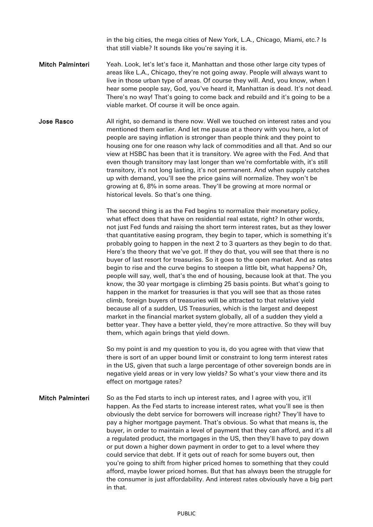in the big cities, the mega cities of New York, L.A., Chicago, Miami, etc.? Is that still viable? It sounds like you're saying it is.

- Mitch Palminteri Yeah. Look, let's let's face it, Manhattan and those other large city types of areas like L.A., Chicago, they're not going away. People will always want to live in those urban type of areas. Of course they will. And, you know, when I hear some people say, God, you've heard it, Manhattan is dead. It's not dead. There's no way! That's going to come back and rebuild and it's going to be a viable market. Of course it will be once again.
- Jose Rasco All right, so demand is there now. Well we touched on interest rates and you mentioned them earlier. And let me pause at a theory with you here, a lot of people are saying inflation is stronger than people think and they point to housing one for one reason why lack of commodities and all that. And so our view at HSBC has been that it is transitory. We agree with the Fed. And that even though transitory may last longer than we're comfortable with, it's still transitory, it's not long lasting, it's not permanent. And when supply catches up with demand, you'll see the price gains will normalize. They won't be growing at 6, 8% in some areas. They'll be growing at more normal or historical levels. So that's one thing.

The second thing is as the Fed begins to normalize their monetary policy, what effect does that have on residential real estate, right? In other words, not just Fed funds and raising the short term interest rates, but as they lower that quantitative easing program, they begin to taper, which is something it's probably going to happen in the next 2 to 3 quarters as they begin to do that. Here's the theory that we've got. If they do that, you will see that there is no buyer of last resort for treasuries. So it goes to the open market. And as rates begin to rise and the curve begins to steepen a little bit, what happens? Oh, people will say, well, that's the end of housing, because look at that. The you know, the 30 year mortgage is climbing 25 basis points. But what's going to happen in the market for treasuries is that you will see that as those rates climb, foreign buyers of treasuries will be attracted to that relative yield because all of a sudden, US Treasuries, which is the largest and deepest market in the financial market system globally, all of a sudden they yield a better year. They have a better yield, they're more attractive. So they will buy them, which again brings that yield down.

So my point is and my question to you is, do you agree with that view that there is sort of an upper bound limit or constraint to long term interest rates in the US, given that such a large percentage of other sovereign bonds are in negative yield areas or in very low yields? So what's your view there and its effect on mortgage rates?

Mitch Palminteri So as the Fed starts to inch up interest rates, and I agree with you, it'll happen. As the Fed starts to increase interest rates, what you'll see is then obviously the debt service for borrowers will increase right? They'll have to pay a higher mortgage payment. That's obvious. So what that means is, the buyer, in order to maintain a level of payment that they can afford, and it's all a regulated product, the mortgages in the US, then they'll have to pay down or put down a higher down payment in order to get to a level where they could service that debt. If it gets out of reach for some buyers out, then you're going to shift from higher priced homes to something that they could afford, maybe lower priced homes. But that has always been the struggle for the consumer is just affordability. And interest rates obviously have a big part in that.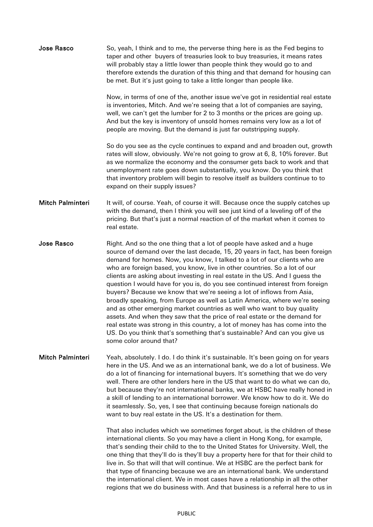| Jose Rasco              | So, yeah, I think and to me, the perverse thing here is as the Fed begins to<br>taper and other buyers of treasuries look to buy treasuries, it means rates<br>will probably stay a little lower than people think they would go to and<br>therefore extends the duration of this thing and that demand for housing can<br>be met. But it's just going to take a little longer than people like.                                                                                                                                                                                                                                                                                                                                                                                                                                                                                                                                                                                        |
|-------------------------|-----------------------------------------------------------------------------------------------------------------------------------------------------------------------------------------------------------------------------------------------------------------------------------------------------------------------------------------------------------------------------------------------------------------------------------------------------------------------------------------------------------------------------------------------------------------------------------------------------------------------------------------------------------------------------------------------------------------------------------------------------------------------------------------------------------------------------------------------------------------------------------------------------------------------------------------------------------------------------------------|
|                         | Now, in terms of one of the, another issue we've got in residential real estate<br>is inventories, Mitch. And we're seeing that a lot of companies are saying,<br>well, we can't get the lumber for 2 to 3 months or the prices are going up.<br>And but the key is inventory of unsold homes remains very low as a lot of<br>people are moving. But the demand is just far outstripping supply.                                                                                                                                                                                                                                                                                                                                                                                                                                                                                                                                                                                        |
|                         | So do you see as the cycle continues to expand and and broaden out, growth<br>rates will slow, obviously. We're not going to grow at 6, 8, 10% forever. But<br>as we normalize the economy and the consumer gets back to work and that<br>unemployment rate goes down substantially, you know. Do you think that<br>that inventory problem will begin to resolve itself as builders continue to to<br>expand on their supply issues?                                                                                                                                                                                                                                                                                                                                                                                                                                                                                                                                                    |
| <b>Mitch Palminteri</b> | It will, of course. Yeah, of course it will. Because once the supply catches up<br>with the demand, then I think you will see just kind of a leveling off of the<br>pricing. But that's just a normal reaction of of the market when it comes to<br>real estate.                                                                                                                                                                                                                                                                                                                                                                                                                                                                                                                                                                                                                                                                                                                        |
| <b>Jose Rasco</b>       | Right. And so the one thing that a lot of people have asked and a huge<br>source of demand over the last decade, 15, 20 years in fact, has been foreign<br>demand for homes. Now, you know, I talked to a lot of our clients who are<br>who are foreign based, you know, live in other countries. So a lot of our<br>clients are asking about investing in real estate in the US. And I guess the<br>question I would have for you is, do you see continued interest from foreign<br>buyers? Because we know that we're seeing a lot of inflows from Asia,<br>broadly speaking, from Europe as well as Latin America, where we're seeing<br>and as other emerging market countries as well who want to buy quality<br>assets. And when they saw that the price of real estate or the demand for<br>real estate was strong in this country, a lot of money has has come into the<br>US. Do you think that's something that's sustainable? And can you give us<br>some color around that? |
| <b>Mitch Palminteri</b> | Yeah, absolutely. I do. I do think it's sustainable. It's been going on for years<br>here in the US. And we as an international bank, we do a lot of business. We<br>do a lot of financing for international buyers. It's something that we do very<br>well. There are other lenders here in the US that want to do what we can do,<br>but because they're not international banks, we at HSBC have really honed in<br>a skill of lending to an international borrower. We know how to do it. We do<br>it seamlessly. So, yes, I see that continuing because foreign nationals do<br>want to buy real estate in the US. It's a destination for them.                                                                                                                                                                                                                                                                                                                                    |
|                         | That also includes which we sometimes forget about, is the children of these<br>international clients. So you may have a client in Hong Kong, for example,<br>that's sending their child to the to the United States for University. Well, the<br>one thing that they'll do is they'll buy a property here for that for their child to<br>live in. So that will that will continue. We at HSBC are the perfect bank for<br>that type of financing because we are an international bank. We understand<br>the international client. We in most cases have a relationship in all the other<br>regions that we do business with. And that business is a referral here to us in                                                                                                                                                                                                                                                                                                             |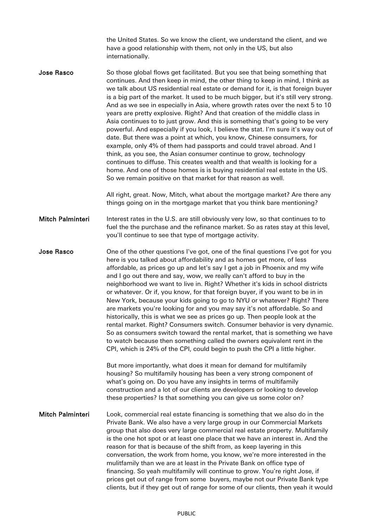the United States. So we know the client, we understand the client, and we have a good relationship with them, not only in the US, but also internationally.

**Jose Rasco** So those global flows get facilitated. But you see that being something that continues. And then keep in mind, the other thing to keep in mind, I think as we talk about US residential real estate or demand for it, is that foreign buyer is a big part of the market. It used to be much bigger, but it's still very strong. And as we see in especially in Asia, where growth rates over the next 5 to 10 years are pretty explosive. Right? And that creation of the middle class in Asia continues to to just grow. And this is something that's going to be very powerful. And especially if you look, I believe the stat. I'm sure it's way out of date. But there was a point at which, you know, Chinese consumers, for example, only 4% of them had passports and could travel abroad. And I think, as you see, the Asian consumer continue to grow, technology continues to diffuse. This creates wealth and that wealth is looking for a home. And one of those homes is is buying residential real estate in the US. So we remain positive on that market for that reason as well.

> All right, great. Now, Mitch, what about the mortgage market? Are there any things going on in the mortgage market that you think bare mentioning?

Mitch Palminteri Interest rates in the U.S. are still obviously very low, so that continues to to fuel the the purchase and the refinance market. So as rates stay at this level, you'll continue to see that type of mortgage activity.

Jose Rasco **One of the other questions I've got, one of the final questions I've got for you** here is you talked about affordability and as homes get more, of less affordable, as prices go up and let's say I get a job in Phoenix and my wife and I go out there and say, wow, we really can't afford to buy in the neighborhood we want to live in. Right? Whether it's kids in school districts or whatever. Or if, you know, for that foreign buyer, if you want to be in in New York, because your kids going to go to NYU or whatever? Right? There are markets you're looking for and you may say it's not affordable. So and historically, this is what we see as prices go up. Then people look at the rental market. Right? Consumers switch. Consumer behavior is very dynamic. So as consumers switch toward the rental market, that is something we have to watch because then something called the owners equivalent rent in the CPI, which is 24% of the CPI, could begin to push the CPI a little higher.

> But more importantly, what does it mean for demand for multifamily housing? So multifamily housing has been a very strong component of what's going on. Do you have any insights in terms of multifamily construction and a lot of our clients are developers or looking to develop these properties? Is that something you can give us some color on?

Mitch Palminteri Look, commercial real estate financing is something that we also do in the Private Bank. We also have a very large group in our Commercial Markets group that also does very large commercial real estate property. Multifamily is the one hot spot or at least one place that we have an interest in. And the reason for that is because of the shift from, as keep layering in this conversation, the work from home, you know, we're more interested in the mulitfamily than we are at least in the Private Bank on office type of financing. So yeah multifamily will continue to grow. You're right Jose, if prices get out of range from some buyers, maybe not our Private Bank type clients, but if they get out of range for some of our clients, then yeah it would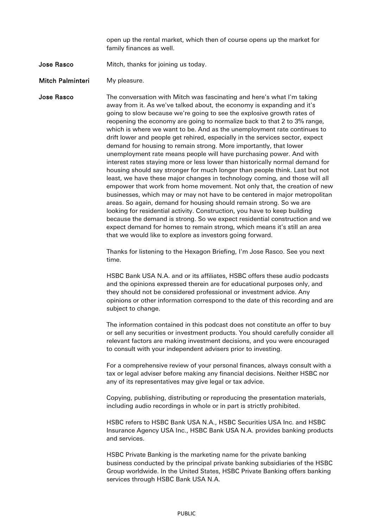open up the rental market, which then of course opens up the market for family finances as well.

## Jose Rasco Mitch, thanks for joining us today.

Mitch Palminteri My pleasure.

**Jose Rasco** The conversation with Mitch was fascinating and here's what I'm taking away from it. As we've talked about, the economy is expanding and it's going to slow because we're going to see the explosive growth rates of reopening the economy are going to normalize back to that 2 to 3% range, which is where we want to be. And as the unemployment rate continues to drift lower and people get rehired, especially in the services sector, expect demand for housing to remain strong. More importantly, that lower unemployment rate means people will have purchasing power. And with interest rates staying more or less lower than historically normal demand for housing should say stronger for much longer than people think. Last but not least, we have these major changes in technology coming, and those will all empower that work from home movement. Not only that, the creation of new businesses, which may or may not have to be centered in major metropolitan areas. So again, demand for housing should remain strong. So we are looking for residential activity. Construction, you have to keep building because the demand is strong. So we expect residential construction and we expect demand for homes to remain strong, which means it's still an area that we would like to explore as investors going forward.

> Thanks for listening to the Hexagon Briefing, I'm Jose Rasco. See you next time.

HSBC Bank USA N.A. and or its affiliates, HSBC offers these audio podcasts and the opinions expressed therein are for educational purposes only, and they should not be considered professional or investment advice. Any opinions or other information correspond to the date of this recording and are subject to change.

The information contained in this podcast does not constitute an offer to buy or sell any securities or investment products. You should carefully consider all relevant factors are making investment decisions, and you were encouraged to consult with your independent advisers prior to investing.

For a comprehensive review of your personal finances, always consult with a tax or legal adviser before making any financial decisions. Neither HSBC nor any of its representatives may give legal or tax advice.

Copying, publishing, distributing or reproducing the presentation materials, including audio recordings in whole or in part is strictly prohibited.

HSBC refers to HSBC Bank USA N.A., HSBC Securities USA Inc. and HSBC Insurance Agency USA Inc., HSBC Bank USA N.A. provides banking products and services.

HSBC Private Banking is the marketing name for the private banking business conducted by the principal private banking subsidiaries of the HSBC Group worldwide. In the United States, HSBC Private Banking offers banking services through HSBC Bank USA N.A.